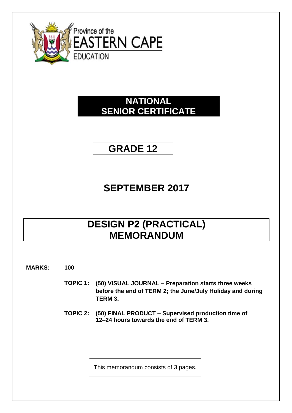

### **NATIONAL SENIOR CERTIFICATE**

**GRADE 12**

# **SEPTEMBER 2017**

# **DESIGN P2 (PRACTICAL) MEMORANDUM**

**MARKS: 100**

- **TOPIC 1: (50) VISUAL JOURNAL – Preparation starts three weeks before the end of TERM 2; the June/July Holiday and during TERM 3.**
- **TOPIC 2: (50) FINAL PRODUCT – Supervised production time of 12–24 hours towards the end of TERM 3.**

This memorandum consists of 3 pages.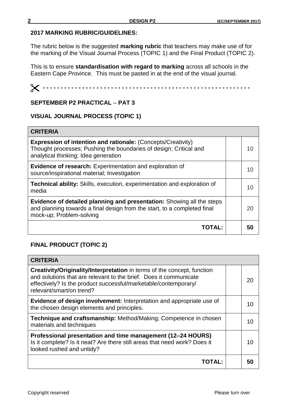#### **2017 MARKING RUBRIC/GUIDELINES:**

The rubric below is the suggested **marking rubric** that teachers may make use of for the marking of the Visual Journal Process (TOPIC 1) and the Final Product (TOPIC 2).

This is to ensure **standardisation with regard to marking** across all schools in the Eastern Cape Province. This must be pasted in at the end of the visual journal.

 **- - - - - - - - - - - - - - - - - - - - - - - - - - - - - - - - - - - - - - - - - - - - - - - - - - - - - - - - - -**

### **SEPTEMBER P2 PRACTICAL** – **PAT 3**

#### **VISUAL JOURNAL PROCESS (TOPIC 1)**

| <b>CRITERIA</b>                                                                                                                                                                  |    |
|----------------------------------------------------------------------------------------------------------------------------------------------------------------------------------|----|
| <b>Expression of intention and rationale: (Concepts/Creativity)</b><br>Thought processes; Pushing the boundaries of design; Critical and<br>analytical thinking; Idea generation | 10 |
| <b>Evidence of research:</b> Experimentation and exploration of<br>source/inspirational material; Investigation                                                                  | 10 |
| <b>Technical ability:</b> Skills, execution, experimentation and exploration of<br>media                                                                                         | 10 |
| Evidence of detailed planning and presentation: Showing all the steps<br>and planning towards a final design from the start, to a completed final<br>mock-up; Problem-solving    | 20 |
| TOTAL:                                                                                                                                                                           | 50 |

### **FINAL PRODUCT (TOPIC 2)**

| <b>CRITERIA</b>                                                                                                                                                                                                                                    |    |
|----------------------------------------------------------------------------------------------------------------------------------------------------------------------------------------------------------------------------------------------------|----|
| <b>Creativity/Originality/Interpretation</b> in terms of the concept, function<br>and solutions that are relevant to the brief. Does it communicate<br>effectively? Is the product successful/marketable/contemporary/<br>relevant/smart/on trend? | 20 |
| Evidence of design involvement: Interpretation and appropriate use of<br>the chosen design elements and principles.                                                                                                                                | 10 |
| Technique and craftsmanship: Method/Making; Competence in chosen<br>materials and techniques                                                                                                                                                       | 10 |
| Professional presentation and time management (12–24 HOURS)<br>Is it complete? Is it neat? Are there still areas that need work? Does it<br>looked rushed and untidy?                                                                              | 10 |
| <b>TOTAL:</b>                                                                                                                                                                                                                                      | 50 |